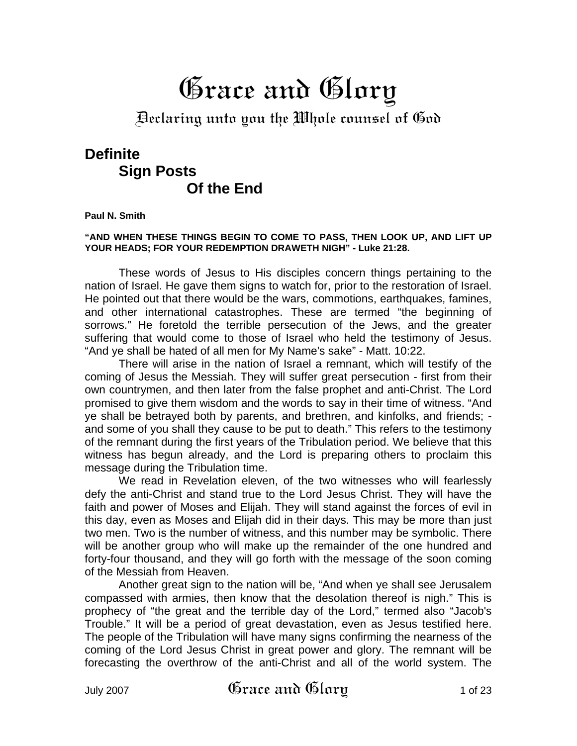# Grace and Glory

Declaring unto you the Whole counsel of God

# **Definite Sign Posts Of the End**

**Paul N. Smith** 

#### **"AND WHEN THESE THINGS BEGIN TO COME TO PASS, THEN LOOK UP, AND LIFT UP YOUR HEADS; FOR YOUR REDEMPTION DRAWETH NIGH" - Luke 21:28.**

These words of Jesus to His disciples concern things pertaining to the nation of Israel. He gave them signs to watch for, prior to the restoration of Israel. He pointed out that there would be the wars, commotions, earthquakes, famines, and other international catastrophes. These are termed "the beginning of sorrows." He foretold the terrible persecution of the Jews, and the greater suffering that would come to those of Israel who held the testimony of Jesus. "And ye shall be hated of all men for My Name's sake" - Matt. 10:22.

There will arise in the nation of Israel a remnant, which will testify of the coming of Jesus the Messiah. They will suffer great persecution - first from their own countrymen, and then later from the false prophet and anti-Christ. The Lord promised to give them wisdom and the words to say in their time of witness. "And ye shall be betrayed both by parents, and brethren, and kinfolks, and friends; and some of you shall they cause to be put to death." This refers to the testimony of the remnant during the first years of the Tribulation period. We believe that this witness has begun already, and the Lord is preparing others to proclaim this message during the Tribulation time.

We read in Revelation eleven, of the two witnesses who will fearlessly defy the anti-Christ and stand true to the Lord Jesus Christ. They will have the faith and power of Moses and Elijah. They will stand against the forces of evil in this day, even as Moses and Elijah did in their days. This may be more than just two men. Two is the number of witness, and this number may be symbolic. There will be another group who will make up the remainder of the one hundred and forty-four thousand, and they will go forth with the message of the soon coming of the Messiah from Heaven.

Another great sign to the nation will be, "And when ye shall see Jerusalem compassed with armies, then know that the desolation thereof is nigh." This is prophecy of "the great and the terrible day of the Lord," termed also "Jacob's Trouble." It will be a period of great devastation, even as Jesus testified here. The people of the Tribulation will have many signs confirming the nearness of the coming of the Lord Jesus Christ in great power and glory. The remnant will be forecasting the overthrow of the anti-Christ and all of the world system. The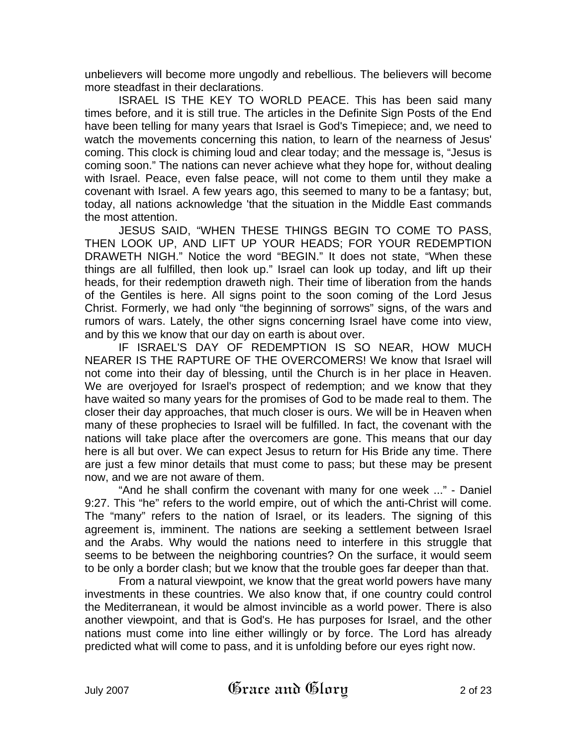unbelievers will become more ungodly and rebellious. The believers will become more steadfast in their declarations.

ISRAEL IS THE KEY TO WORLD PEACE. This has been said many times before, and it is still true. The articles in the Definite Sign Posts of the End have been telling for many years that Israel is God's Timepiece; and, we need to watch the movements concerning this nation, to learn of the nearness of Jesus' coming. This clock is chiming loud and clear today; and the message is, "Jesus is coming soon." The nations can never achieve what they hope for, without dealing with Israel. Peace, even false peace, will not come to them until they make a covenant with Israel. A few years ago, this seemed to many to be a fantasy; but, today, all nations acknowledge 'that the situation in the Middle East commands the most attention.

JESUS SAID, "WHEN THESE THINGS BEGIN TO COME TO PASS, THEN LOOK UP, AND LIFT UP YOUR HEADS; FOR YOUR REDEMPTION DRAWETH NIGH." Notice the word "BEGIN." It does not state, "When these things are all fulfilled, then look up." Israel can look up today, and lift up their heads, for their redemption draweth nigh. Their time of liberation from the hands of the Gentiles is here. All signs point to the soon coming of the Lord Jesus Christ. Formerly, we had only "the beginning of sorrows" signs, of the wars and rumors of wars. Lately, the other signs concerning Israel have come into view, and by this we know that our day on earth is about over.

IF ISRAEL'S DAY OF REDEMPTION IS SO NEAR, HOW MUCH NEARER IS THE RAPTURE OF THE OVERCOMERS! We know that Israel will not come into their day of blessing, until the Church is in her place in Heaven. We are overjoyed for Israel's prospect of redemption; and we know that they have waited so many years for the promises of God to be made real to them. The closer their day approaches, that much closer is ours. We will be in Heaven when many of these prophecies to Israel will be fulfilled. In fact, the covenant with the nations will take place after the overcomers are gone. This means that our day here is all but over. We can expect Jesus to return for His Bride any time. There are just a few minor details that must come to pass; but these may be present now, and we are not aware of them.

"And he shall confirm the covenant with many for one week ..." - Daniel 9:27. This "he" refers to the world empire, out of which the anti-Christ will come. The "many" refers to the nation of Israel, or its leaders. The signing of this agreement is, imminent. The nations are seeking a settlement between Israel and the Arabs. Why would the nations need to interfere in this struggle that seems to be between the neighboring countries? On the surface, it would seem to be only a border clash; but we know that the trouble goes far deeper than that.

From a natural viewpoint, we know that the great world powers have many investments in these countries. We also know that, if one country could control the Mediterranean, it would be almost invincible as a world power. There is also another viewpoint, and that is God's. He has purposes for Israel, and the other nations must come into line either willingly or by force. The Lord has already predicted what will come to pass, and it is unfolding before our eyes right now.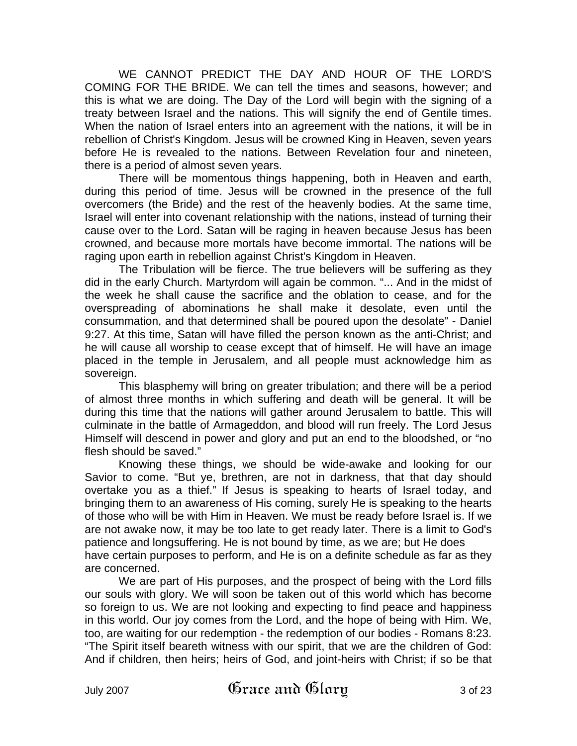WE CANNOT PREDICT THE DAY AND HOUR OF THE LORD'S COMING FOR THE BRIDE. We can tell the times and seasons, however; and this is what we are doing. The Day of the Lord will begin with the signing of a treaty between Israel and the nations. This will signify the end of Gentile times. When the nation of Israel enters into an agreement with the nations, it will be in rebellion of Christ's Kingdom. Jesus will be crowned King in Heaven, seven years before He is revealed to the nations. Between Revelation four and nineteen, there is a period of almost seven years.

There will be momentous things happening, both in Heaven and earth, during this period of time. Jesus will be crowned in the presence of the full overcomers (the Bride) and the rest of the heavenly bodies. At the same time, Israel will enter into covenant relationship with the nations, instead of turning their cause over to the Lord. Satan will be raging in heaven because Jesus has been crowned, and because more mortals have become immortal. The nations will be raging upon earth in rebellion against Christ's Kingdom in Heaven.

The Tribulation will be fierce. The true believers will be suffering as they did in the early Church. Martyrdom will again be common. "... And in the midst of the week he shall cause the sacrifice and the oblation to cease, and for the overspreading of abominations he shall make it desolate, even until the consummation, and that determined shall be poured upon the desolate" - Daniel 9:27. At this time, Satan will have filled the person known as the anti-Christ; and he will cause all worship to cease except that of himself. He will have an image placed in the temple in Jerusalem, and all people must acknowledge him as sovereign.

This blasphemy will bring on greater tribulation; and there will be a period of almost three months in which suffering and death will be general. It will be during this time that the nations will gather around Jerusalem to battle. This will culminate in the battle of Armageddon, and blood will run freely. The Lord Jesus Himself will descend in power and glory and put an end to the bloodshed, or "no flesh should be saved."

Knowing these things, we should be wide-awake and looking for our Savior to come. "But ye, brethren, are not in darkness, that that day should overtake you as a thief." If Jesus is speaking to hearts of Israel today, and bringing them to an awareness of His coming, surely He is speaking to the hearts of those who will be with Him in Heaven. We must be ready before Israel is. If we are not awake now, it may be too late to get ready later. There is a limit to God's patience and longsuffering. He is not bound by time, as we are; but He does have certain purposes to perform, and He is on a definite schedule as far as they are concerned.

We are part of His purposes, and the prospect of being with the Lord fills our souls with glory. We will soon be taken out of this world which has become so foreign to us. We are not looking and expecting to find peace and happiness in this world. Our joy comes from the Lord, and the hope of being with Him. We, too, are waiting for our redemption - the redemption of our bodies - Romans 8:23. "The Spirit itself beareth witness with our spirit, that we are the children of God: And if children, then heirs; heirs of God, and joint-heirs with Christ; if so be that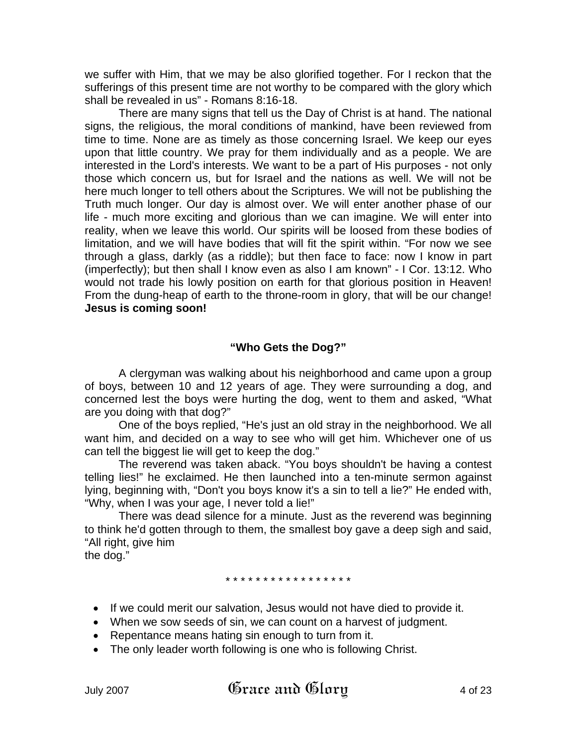we suffer with Him, that we may be also glorified together. For I reckon that the sufferings of this present time are not worthy to be compared with the glory which shall be revealed in us" - Romans 8:16-18.

There are many signs that tell us the Day of Christ is at hand. The national signs, the religious, the moral conditions of mankind, have been reviewed from time to time. None are as timely as those concerning Israel. We keep our eyes upon that little country. We pray for them individually and as a people. We are interested in the Lord's interests. We want to be a part of His purposes - not only those which concern us, but for Israel and the nations as well. We will not be here much longer to tell others about the Scriptures. We will not be publishing the Truth much longer. Our day is almost over. We will enter another phase of our life - much more exciting and glorious than we can imagine. We will enter into reality, when we leave this world. Our spirits will be loosed from these bodies of limitation, and we will have bodies that will fit the spirit within. "For now we see through a glass, darkly (as a riddle); but then face to face: now I know in part (imperfectly); but then shall I know even as also I am known" - I Cor. 13:12. Who would not trade his lowly position on earth for that glorious position in Heaven! From the dung-heap of earth to the throne-room in glory, that will be our change! **Jesus is coming soon!**

## **"Who Gets the Dog?"**

A clergyman was walking about his neighborhood and came upon a group of boys, between 10 and 12 years of age. They were surrounding a dog, and concerned lest the boys were hurting the dog, went to them and asked, "What are you doing with that dog?"

One of the boys replied, "He's just an old stray in the neighborhood. We all want him, and decided on a way to see who will get him. Whichever one of us can tell the biggest lie will get to keep the dog."

The reverend was taken aback. "You boys shouldn't be having a contest telling lies!" he exclaimed. He then launched into a ten-minute sermon against lying, beginning with, "Don't you boys know it's a sin to tell a lie?" He ended with, "Why, when I was your age, I never told a lie!"

There was dead silence for a minute. Just as the reverend was beginning to think he'd gotten through to them, the smallest boy gave a deep sigh and said, "All right, give him the dog."

\* \* \* \* \* \* \* \* \* \* \* \* \* \* \* \* \*

- If we could merit our salvation, Jesus would not have died to provide it.
- When we sow seeds of sin, we can count on a harvest of judgment.
- Repentance means hating sin enough to turn from it.
- The only leader worth following is one who is following Christ.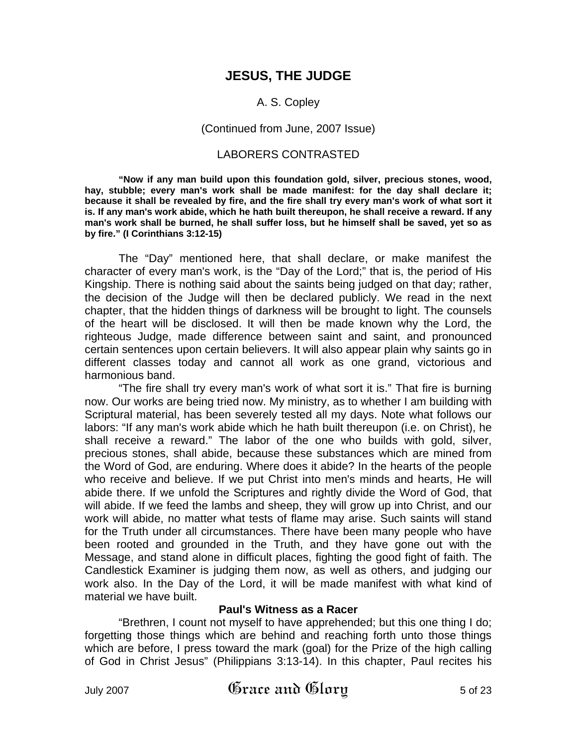## **JESUS, THE JUDGE**

#### A. S. Copley

#### (Continued from June, 2007 Issue)

#### LABORERS CONTRASTED

**"Now if any man build upon this foundation gold, silver, precious stones, wood, hay, stubble; every man's work shall be made manifest: for the day shall declare it; because it shall be revealed by fire, and the fire shall try every man's work of what sort it is. If any man's work abide, which he hath built thereupon, he shall receive a reward. If any man's work shall be burned, he shall suffer loss, but he himself shall be saved, yet so as by fire." (I Corinthians 3:12-15)** 

The "Day" mentioned here, that shall declare, or make manifest the character of every man's work, is the "Day of the Lord;" that is, the period of His Kingship. There is nothing said about the saints being judged on that day; rather, the decision of the Judge will then be declared publicly. We read in the next chapter, that the hidden things of darkness will be brought to light. The counsels of the heart will be disclosed. It will then be made known why the Lord, the righteous Judge, made difference between saint and saint, and pronounced certain sentences upon certain believers. It will also appear plain why saints go in different classes today and cannot all work as one grand, victorious and harmonious band.

"The fire shall try every man's work of what sort it is." That fire is burning now. Our works are being tried now. My ministry, as to whether I am building with Scriptural material, has been severely tested all my days. Note what follows our labors: "If any man's work abide which he hath built thereupon (i.e. on Christ), he shall receive a reward." The labor of the one who builds with gold, silver, precious stones, shall abide, because these substances which are mined from the Word of God, are enduring. Where does it abide? In the hearts of the people who receive and believe. If we put Christ into men's minds and hearts, He will abide there. If we unfold the Scriptures and rightly divide the Word of God, that will abide. If we feed the lambs and sheep, they will grow up into Christ, and our work will abide, no matter what tests of flame may arise. Such saints will stand for the Truth under all circumstances. There have been many people who have been rooted and grounded in the Truth, and they have gone out with the Message, and stand alone in difficult places, fighting the good fight of faith. The Candlestick Examiner is judging them now, as well as others, and judging our work also. In the Day of the Lord, it will be made manifest with what kind of material we have built.

#### **Paul's Witness as a Racer**

"Brethren, I count not myself to have apprehended; but this one thing I do; forgetting those things which are behind and reaching forth unto those things which are before, I press toward the mark (goal) for the Prize of the high calling of God in Christ Jesus" (Philippians 3:13-14). In this chapter, Paul recites his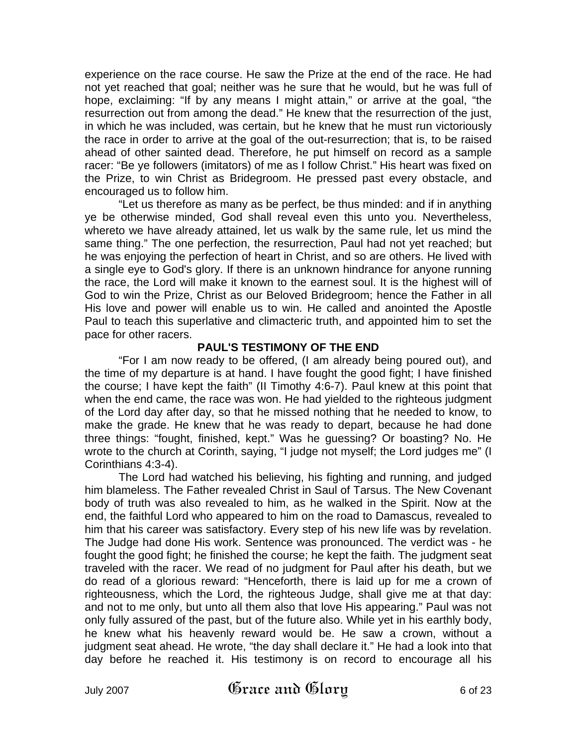experience on the race course. He saw the Prize at the end of the race. He had not yet reached that goal; neither was he sure that he would, but he was full of hope, exclaiming: "If by any means I might attain," or arrive at the goal, "the resurrection out from among the dead." He knew that the resurrection of the just, in which he was included, was certain, but he knew that he must run victoriously the race in order to arrive at the goal of the out-resurrection; that is, to be raised ahead of other sainted dead. Therefore, he put himself on record as a sample racer: "Be ye followers (imitators) of me as I follow Christ." His heart was fixed on the Prize, to win Christ as Bridegroom. He pressed past every obstacle, and encouraged us to follow him.

"Let us therefore as many as be perfect, be thus minded: and if in anything ye be otherwise minded, God shall reveal even this unto you. Nevertheless, whereto we have already attained, let us walk by the same rule, let us mind the same thing." The one perfection, the resurrection, Paul had not yet reached; but he was enjoying the perfection of heart in Christ, and so are others. He lived with a single eye to God's glory. If there is an unknown hindrance for anyone running the race, the Lord will make it known to the earnest soul. It is the highest will of God to win the Prize, Christ as our Beloved Bridegroom; hence the Father in all His love and power will enable us to win. He called and anointed the Apostle Paul to teach this superlative and climacteric truth, and appointed him to set the pace for other racers.

### **PAUL'S TESTIMONY OF THE END**

"For I am now ready to be offered, (I am already being poured out), and the time of my departure is at hand. I have fought the good fight; I have finished the course; I have kept the faith" (II Timothy 4:6-7). Paul knew at this point that when the end came, the race was won. He had yielded to the righteous judgment of the Lord day after day, so that he missed nothing that he needed to know, to make the grade. He knew that he was ready to depart, because he had done three things: "fought, finished, kept." Was he guessing? Or boasting? No. He wrote to the church at Corinth, saying, "I judge not myself; the Lord judges me" (I Corinthians 4:3-4).

The Lord had watched his believing, his fighting and running, and judged him blameless. The Father revealed Christ in Saul of Tarsus. The New Covenant body of truth was also revealed to him, as he walked in the Spirit. Now at the end, the faithful Lord who appeared to him on the road to Damascus, revealed to him that his career was satisfactory. Every step of his new life was by revelation. The Judge had done His work. Sentence was pronounced. The verdict was - he fought the good fight; he finished the course; he kept the faith. The judgment seat traveled with the racer. We read of no judgment for Paul after his death, but we do read of a glorious reward: "Henceforth, there is laid up for me a crown of righteousness, which the Lord, the righteous Judge, shall give me at that day: and not to me only, but unto all them also that love His appearing." Paul was not only fully assured of the past, but of the future also. While yet in his earthly body, he knew what his heavenly reward would be. He saw a crown, without a judgment seat ahead. He wrote, "the day shall declare it." He had a look into that day before he reached it. His testimony is on record to encourage all his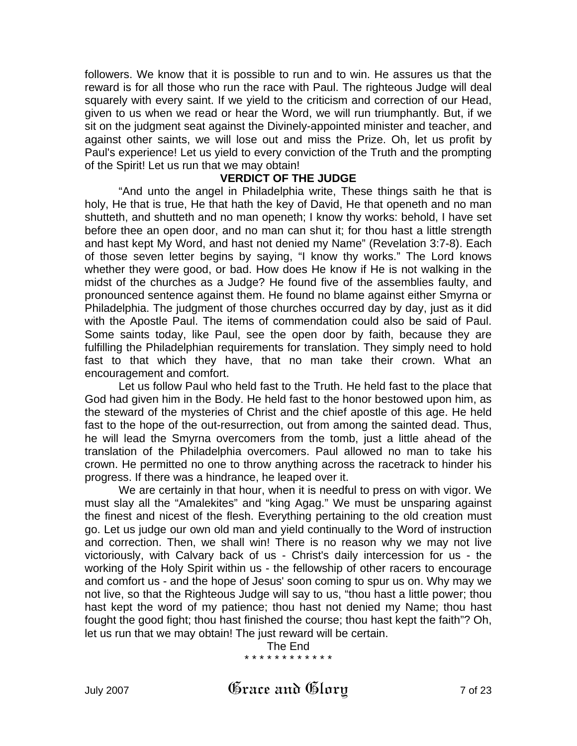followers. We know that it is possible to run and to win. He assures us that the reward is for all those who run the race with Paul. The righteous Judge will deal squarely with every saint. If we yield to the criticism and correction of our Head, given to us when we read or hear the Word, we will run triumphantly. But, if we sit on the judgment seat against the Divinely-appointed minister and teacher, and against other saints, we will lose out and miss the Prize. Oh, let us profit by Paul's experience! Let us yield to every conviction of the Truth and the prompting of the Spirit! Let us run that we may obtain!

#### **VERDICT OF THE JUDGE**

"And unto the angel in Philadelphia write, These things saith he that is holy, He that is true, He that hath the key of David, He that openeth and no man shutteth, and shutteth and no man openeth; I know thy works: behold, I have set before thee an open door, and no man can shut it; for thou hast a little strength and hast kept My Word, and hast not denied my Name" (Revelation 3:7-8). Each of those seven letter begins by saying, "I know thy works." The Lord knows whether they were good, or bad. How does He know if He is not walking in the midst of the churches as a Judge? He found five of the assemblies faulty, and pronounced sentence against them. He found no blame against either Smyrna or Philadelphia. The judgment of those churches occurred day by day, just as it did with the Apostle Paul. The items of commendation could also be said of Paul. Some saints today, like Paul, see the open door by faith, because they are fulfilling the Philadelphian requirements for translation. They simply need to hold fast to that which they have, that no man take their crown. What an encouragement and comfort.

Let us follow Paul who held fast to the Truth. He held fast to the place that God had given him in the Body. He held fast to the honor bestowed upon him, as the steward of the mysteries of Christ and the chief apostle of this age. He held fast to the hope of the out-resurrection, out from among the sainted dead. Thus, he will lead the Smyrna overcomers from the tomb, just a little ahead of the translation of the Philadelphia overcomers. Paul allowed no man to take his crown. He permitted no one to throw anything across the racetrack to hinder his progress. If there was a hindrance, he leaped over it.

We are certainly in that hour, when it is needful to press on with vigor. We must slay all the "Amalekites" and "king Agag." We must be unsparing against the finest and nicest of the flesh. Everything pertaining to the old creation must go. Let us judge our own old man and yield continually to the Word of instruction and correction. Then, we shall win! There is no reason why we may not live victoriously, with Calvary back of us - Christ's daily intercession for us - the working of the Holy Spirit within us - the fellowship of other racers to encourage and comfort us - and the hope of Jesus' soon coming to spur us on. Why may we not live, so that the Righteous Judge will say to us, "thou hast a little power; thou hast kept the word of my patience; thou hast not denied my Name; thou hast fought the good fight; thou hast finished the course; thou hast kept the faith"? Oh, let us run that we may obtain! The just reward will be certain.

> The End \* \* \* \* \* \* \* \* \* \* \* \*

July 2007  $\qquad$   $\qquad$   $\qquad$   $\qquad$   $\qquad$   $\qquad$   $\qquad$   $\qquad$   $\qquad$   $\qquad$   $\qquad$   $\qquad$   $\qquad$   $\qquad$   $\qquad$   $\qquad$   $\qquad$   $\qquad$   $\qquad$   $\qquad$   $\qquad$   $\qquad$   $\qquad$   $\qquad$   $\qquad$   $\qquad$   $\qquad$   $\qquad$   $\qquad$   $\qquad$   $\qquad$   $\qquad$   $\qquad$   $\qquad$   $\qquad$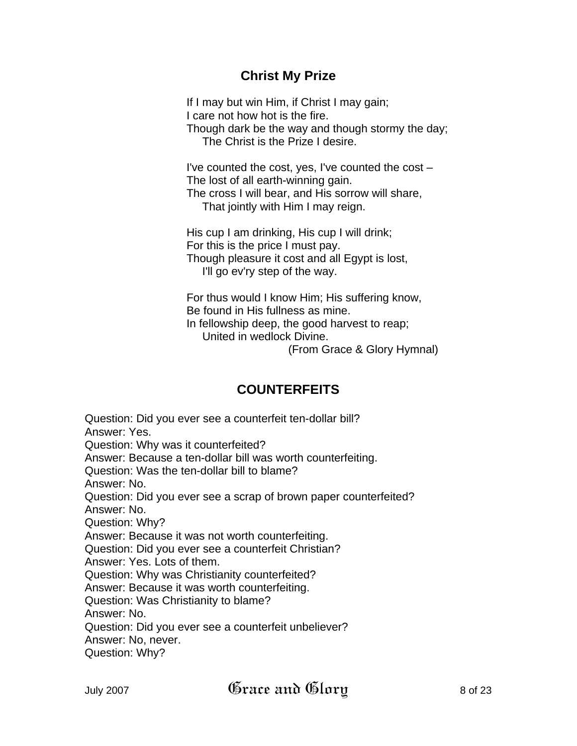# **Christ My Prize**

If I may but win Him, if Christ I may gain; I care not how hot is the fire. Though dark be the way and though stormy the day; The Christ is the Prize I desire.

I've counted the cost, yes, I've counted the cost – The lost of all earth-winning gain. The cross I will bear, and His sorrow will share, That jointly with Him I may reign.

His cup I am drinking, His cup I will drink; For this is the price I must pay. Though pleasure it cost and all Egypt is lost, I'll go ev'ry step of the way.

For thus would I know Him; His suffering know, Be found in His fullness as mine. In fellowship deep, the good harvest to reap; United in wedlock Divine.

(From Grace & Glory Hymnal)

# **COUNTERFEITS**

Question: Did you ever see a counterfeit ten-dollar bill? Answer: Yes. Question: Why was it counterfeited? Answer: Because a ten-dollar bill was worth counterfeiting. Question: Was the ten-dollar bill to blame? Answer: No. Question: Did you ever see a scrap of brown paper counterfeited? Answer: No. Question: Why? Answer: Because it was not worth counterfeiting. Question: Did you ever see a counterfeit Christian? Answer: Yes. Lots of them. Question: Why was Christianity counterfeited? Answer: Because it was worth counterfeiting. Question: Was Christianity to blame? Answer: No. Question: Did you ever see a counterfeit unbeliever? Answer: No, never. Question: Why?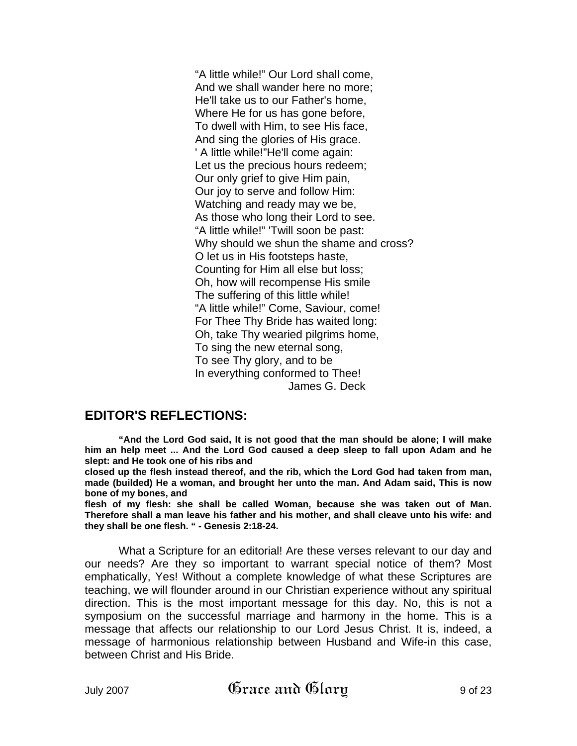"A little while!" Our Lord shall come, And we shall wander here no more; He'll take us to our Father's home, Where He for us has gone before, To dwell with Him, to see His face, And sing the glories of His grace. ' A little while!"He'll come again: Let us the precious hours redeem; Our only grief to give Him pain, Our joy to serve and follow Him: Watching and ready may we be, As those who long their Lord to see. "A little while!" 'Twill soon be past: Why should we shun the shame and cross? O let us in His footsteps haste, Counting for Him all else but loss; Oh, how will recompense His smile The suffering of this little while! "A little while!" Come, Saviour, come! For Thee Thy Bride has waited long: Oh, take Thy wearied pilgrims home, To sing the new eternal song, To see Thy glory, and to be In everything conformed to Thee! James G. Deck

## **EDITOR'S REFLECTIONS:**

**"And the Lord God said, It is not good that the man should be alone; I will make him an help meet ... And the Lord God caused a deep sleep to fall upon Adam and he slept: and He took one of his ribs and** 

**closed up the flesh instead thereof, and the rib, which the Lord God had taken from man, made (builded) He a woman, and brought her unto the man. And Adam said, This is now bone of my bones, and** 

**flesh of my flesh: she shall be called Woman, because she was taken out of Man. Therefore shall a man leave his father and his mother, and shall cleave unto his wife: and they shall be one flesh. " - Genesis 2:18-24.**

What a Scripture for an editorial! Are these verses relevant to our day and our needs? Are they so important to warrant special notice of them? Most emphatically, Yes! Without a complete knowledge of what these Scriptures are teaching, we will flounder around in our Christian experience without any spiritual direction. This is the most important message for this day. No, this is not a symposium on the successful marriage and harmony in the home. This is a message that affects our relationship to our Lord Jesus Christ. It is, indeed, a message of harmonious relationship between Husband and Wife-in this case, between Christ and His Bride.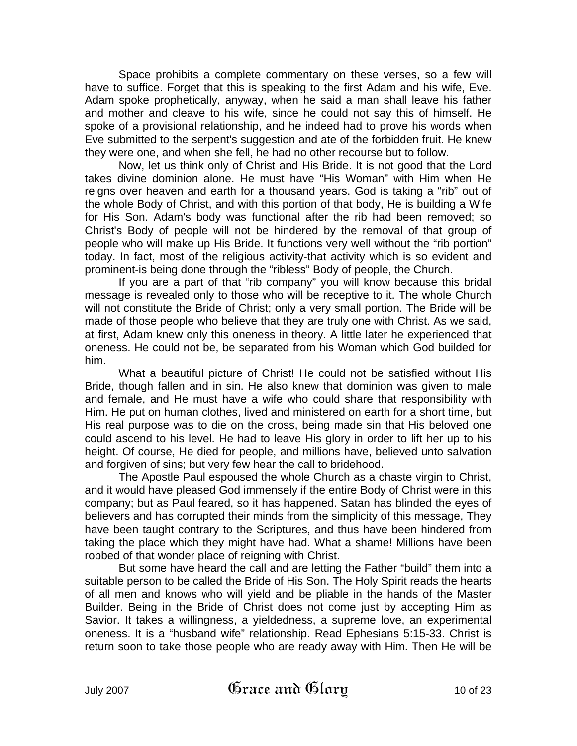Space prohibits a complete commentary on these verses, so a few will have to suffice. Forget that this is speaking to the first Adam and his wife, Eve. Adam spoke prophetically, anyway, when he said a man shall leave his father and mother and cleave to his wife, since he could not say this of himself. He spoke of a provisional relationship, and he indeed had to prove his words when Eve submitted to the serpent's suggestion and ate of the forbidden fruit. He knew they were one, and when she fell, he had no other recourse but to follow.

Now, let us think only of Christ and His Bride. It is not good that the Lord takes divine dominion alone. He must have "His Woman" with Him when He reigns over heaven and earth for a thousand years. God is taking a "rib" out of the whole Body of Christ, and with this portion of that body, He is building a Wife for His Son. Adam's body was functional after the rib had been removed; so Christ's Body of people will not be hindered by the removal of that group of people who will make up His Bride. It functions very well without the "rib portion" today. In fact, most of the religious activity-that activity which is so evident and prominent-is being done through the "ribless" Body of people, the Church.

If you are a part of that "rib company" you will know because this bridal message is revealed only to those who will be receptive to it. The whole Church will not constitute the Bride of Christ; only a very small portion. The Bride will be made of those people who believe that they are truly one with Christ. As we said, at first, Adam knew only this oneness in theory. A little later he experienced that oneness. He could not be, be separated from his Woman which God builded for him.

What a beautiful picture of Christ! He could not be satisfied without His Bride, though fallen and in sin. He also knew that dominion was given to male and female, and He must have a wife who could share that responsibility with Him. He put on human clothes, lived and ministered on earth for a short time, but His real purpose was to die on the cross, being made sin that His beloved one could ascend to his level. He had to leave His glory in order to lift her up to his height. Of course, He died for people, and millions have, believed unto salvation and forgiven of sins; but very few hear the call to bridehood.

The Apostle Paul espoused the whole Church as a chaste virgin to Christ, and it would have pleased God immensely if the entire Body of Christ were in this company; but as Paul feared, so it has happened. Satan has blinded the eyes of believers and has corrupted their minds from the simplicity of this message, They have been taught contrary to the Scriptures, and thus have been hindered from taking the place which they might have had. What a shame! Millions have been robbed of that wonder place of reigning with Christ.

But some have heard the call and are letting the Father "build" them into a suitable person to be called the Bride of His Son. The Holy Spirit reads the hearts of all men and knows who will yield and be pliable in the hands of the Master Builder. Being in the Bride of Christ does not come just by accepting Him as Savior. It takes a willingness, a yieldedness, a supreme love, an experimental oneness. It is a "husband wife" relationship. Read Ephesians 5:15-33. Christ is return soon to take those people who are ready away with Him. Then He will be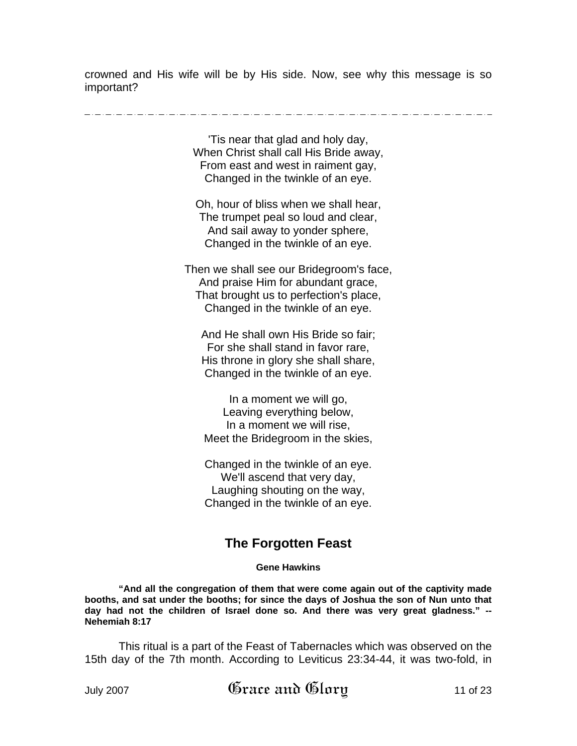crowned and His wife will be by His side. Now, see why this message is so important?

'Tis near that glad and holy day, When Christ shall call His Bride away, From east and west in raiment gay, Changed in the twinkle of an eye.

Oh, hour of bliss when we shall hear, The trumpet peal so loud and clear, And sail away to yonder sphere, Changed in the twinkle of an eye.

Then we shall see our Bridegroom's face, And praise Him for abundant grace, That brought us to perfection's place, Changed in the twinkle of an eye.

And He shall own His Bride so fair; For she shall stand in favor rare, His throne in glory she shall share, Changed in the twinkle of an eye.

In a moment we will go, Leaving everything below, In a moment we will rise, Meet the Bridegroom in the skies,

Changed in the twinkle of an eye. We'll ascend that very day, Laughing shouting on the way, Changed in the twinkle of an eye.

# **The Forgotten Feast**

#### **Gene Hawkins**

**"And all the congregation of them that were come again out of the captivity made booths, and sat under the booths; for since the days of Joshua the son of Nun unto that day had not the children of Israel done so. And there was very great gladness." -- Nehemiah 8:17** 

This ritual is a part of the Feast of Tabernacles which was observed on the 15th day of the 7th month. According to Leviticus 23:34-44, it was two-fold, in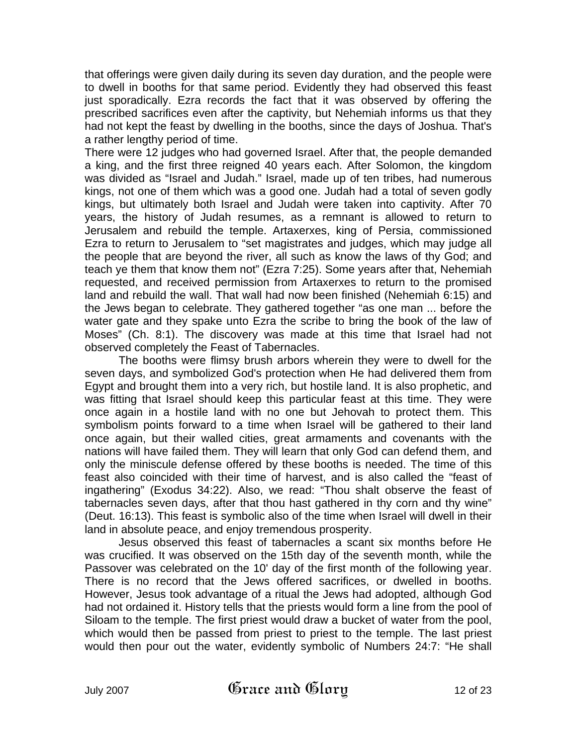that offerings were given daily during its seven day duration, and the people were to dwell in booths for that same period. Evidently they had observed this feast just sporadically. Ezra records the fact that it was observed by offering the prescribed sacrifices even after the captivity, but Nehemiah informs us that they had not kept the feast by dwelling in the booths, since the days of Joshua. That's a rather lengthy period of time.

There were 12 judges who had governed Israel. After that, the people demanded a king, and the first three reigned 40 years each. After Solomon, the kingdom was divided as "Israel and Judah." Israel, made up of ten tribes, had numerous kings, not one of them which was a good one. Judah had a total of seven godly kings, but ultimately both Israel and Judah were taken into captivity. After 70 years, the history of Judah resumes, as a remnant is allowed to return to Jerusalem and rebuild the temple. Artaxerxes, king of Persia, commissioned Ezra to return to Jerusalem to "set magistrates and judges, which may judge all the people that are beyond the river, all such as know the laws of thy God; and teach ye them that know them not" (Ezra 7:25). Some years after that, Nehemiah requested, and received permission from Artaxerxes to return to the promised land and rebuild the wall. That wall had now been finished (Nehemiah 6:15) and the Jews began to celebrate. They gathered together "as one man ... before the water gate and they spake unto Ezra the scribe to bring the book of the law of Moses" (Ch. 8:1). The discovery was made at this time that Israel had not observed completely the Feast of Tabernacles.

The booths were flimsy brush arbors wherein they were to dwell for the seven days, and symbolized God's protection when He had delivered them from Egypt and brought them into a very rich, but hostile land. It is also prophetic, and was fitting that Israel should keep this particular feast at this time. They were once again in a hostile land with no one but Jehovah to protect them. This symbolism points forward to a time when Israel will be gathered to their land once again, but their walled cities, great armaments and covenants with the nations will have failed them. They will learn that only God can defend them, and only the miniscule defense offered by these booths is needed. The time of this feast also coincided with their time of harvest, and is also called the "feast of ingathering" (Exodus 34:22). Also, we read: "Thou shalt observe the feast of tabernacles seven days, after that thou hast gathered in thy corn and thy wine" (Deut. 16:13). This feast is symbolic also of the time when Israel will dwell in their land in absolute peace, and enjoy tremendous prosperity.

Jesus observed this feast of tabernacles a scant six months before He was crucified. It was observed on the 15th day of the seventh month, while the Passover was celebrated on the 10' day of the first month of the following year. There is no record that the Jews offered sacrifices, or dwelled in booths. However, Jesus took advantage of a ritual the Jews had adopted, although God had not ordained it. History tells that the priests would form a line from the pool of Siloam to the temple. The first priest would draw a bucket of water from the pool, which would then be passed from priest to priest to the temple. The last priest would then pour out the water, evidently symbolic of Numbers 24:7: "He shall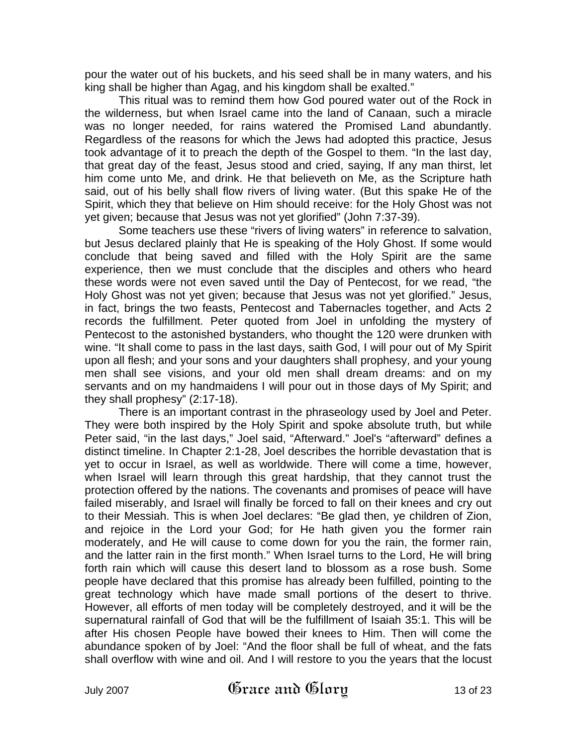pour the water out of his buckets, and his seed shall be in many waters, and his king shall be higher than Agag, and his kingdom shall be exalted."

This ritual was to remind them how God poured water out of the Rock in the wilderness, but when Israel came into the land of Canaan, such a miracle was no longer needed, for rains watered the Promised Land abundantly. Regardless of the reasons for which the Jews had adopted this practice, Jesus took advantage of it to preach the depth of the Gospel to them. "In the last day, that great day of the feast, Jesus stood and cried, saying, If any man thirst, let him come unto Me, and drink. He that believeth on Me, as the Scripture hath said, out of his belly shall flow rivers of living water. (But this spake He of the Spirit, which they that believe on Him should receive: for the Holy Ghost was not yet given; because that Jesus was not yet glorified" (John 7:37-39).

Some teachers use these "rivers of living waters" in reference to salvation, but Jesus declared plainly that He is speaking of the Holy Ghost. If some would conclude that being saved and filled with the Holy Spirit are the same experience, then we must conclude that the disciples and others who heard these words were not even saved until the Day of Pentecost, for we read, "the Holy Ghost was not yet given; because that Jesus was not yet glorified." Jesus, in fact, brings the two feasts, Pentecost and Tabernacles together, and Acts 2 records the fulfillment. Peter quoted from Joel in unfolding the mystery of Pentecost to the astonished bystanders, who thought the 120 were drunken with wine. "It shall come to pass in the last days, saith God, I will pour out of My Spirit upon all flesh; and your sons and your daughters shall prophesy, and your young men shall see visions, and your old men shall dream dreams: and on my servants and on my handmaidens I will pour out in those days of My Spirit; and they shall prophesy" (2:17-18).

There is an important contrast in the phraseology used by Joel and Peter. They were both inspired by the Holy Spirit and spoke absolute truth, but while Peter said, "in the last days," Joel said, "Afterward." Joel's "afterward" defines a distinct timeline. In Chapter 2:1-28, Joel describes the horrible devastation that is yet to occur in Israel, as well as worldwide. There will come a time, however, when Israel will learn through this great hardship, that they cannot trust the protection offered by the nations. The covenants and promises of peace will have failed miserably, and Israel will finally be forced to fall on their knees and cry out to their Messiah. This is when Joel declares: "Be glad then, ye children of Zion, and rejoice in the Lord your God; for He hath given you the former rain moderately, and He will cause to come down for you the rain, the former rain, and the latter rain in the first month." When Israel turns to the Lord, He will bring forth rain which will cause this desert land to blossom as a rose bush. Some people have declared that this promise has already been fulfilled, pointing to the great technology which have made small portions of the desert to thrive. However, all efforts of men today will be completely destroyed, and it will be the supernatural rainfall of God that will be the fulfillment of Isaiah 35:1. This will be after His chosen People have bowed their knees to Him. Then will come the abundance spoken of by Joel: "And the floor shall be full of wheat, and the fats shall overflow with wine and oil. And I will restore to you the years that the locust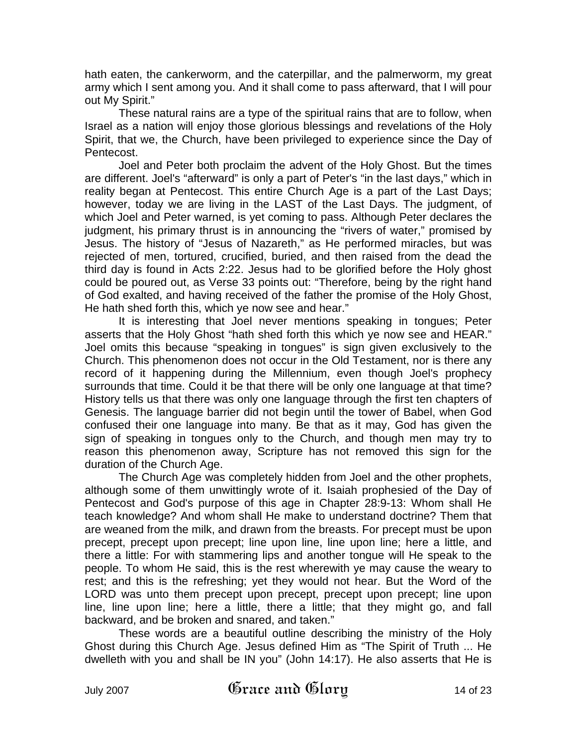hath eaten, the cankerworm, and the caterpillar, and the palmerworm, my great army which I sent among you. And it shall come to pass afterward, that I will pour out My Spirit."

These natural rains are a type of the spiritual rains that are to follow, when Israel as a nation will enjoy those glorious blessings and revelations of the Holy Spirit, that we, the Church, have been privileged to experience since the Day of Pentecost.

Joel and Peter both proclaim the advent of the Holy Ghost. But the times are different. Joel's "afterward" is only a part of Peter's "in the last days," which in reality began at Pentecost. This entire Church Age is a part of the Last Days; however, today we are living in the LAST of the Last Days. The judgment, of which Joel and Peter warned, is yet coming to pass. Although Peter declares the judgment, his primary thrust is in announcing the "rivers of water," promised by Jesus. The history of "Jesus of Nazareth," as He performed miracles, but was rejected of men, tortured, crucified, buried, and then raised from the dead the third day is found in Acts 2:22. Jesus had to be glorified before the Holy ghost could be poured out, as Verse 33 points out: "Therefore, being by the right hand of God exalted, and having received of the father the promise of the Holy Ghost, He hath shed forth this, which ye now see and hear."

It is interesting that Joel never mentions speaking in tongues; Peter asserts that the Holy Ghost "hath shed forth this which ye now see and HEAR." Joel omits this because "speaking in tongues" is sign given exclusively to the Church. This phenomenon does not occur in the Old Testament, nor is there any record of it happening during the Millennium, even though Joel's prophecy surrounds that time. Could it be that there will be only one language at that time? History tells us that there was only one language through the first ten chapters of Genesis. The language barrier did not begin until the tower of Babel, when God confused their one language into many. Be that as it may, God has given the sign of speaking in tongues only to the Church, and though men may try to reason this phenomenon away, Scripture has not removed this sign for the duration of the Church Age.

The Church Age was completely hidden from Joel and the other prophets, although some of them unwittingly wrote of it. Isaiah prophesied of the Day of Pentecost and God's purpose of this age in Chapter 28:9-13: Whom shall He teach knowledge? And whom shall He make to understand doctrine? Them that are weaned from the milk, and drawn from the breasts. For precept must be upon precept, precept upon precept; line upon line, line upon line; here a little, and there a little: For with stammering lips and another tongue will He speak to the people. To whom He said, this is the rest wherewith ye may cause the weary to rest; and this is the refreshing; yet they would not hear. But the Word of the LORD was unto them precept upon precept, precept upon precept; line upon line, line upon line; here a little, there a little; that they might go, and fall backward, and be broken and snared, and taken."

These words are a beautiful outline describing the ministry of the Holy Ghost during this Church Age. Jesus defined Him as "The Spirit of Truth ... He dwelleth with you and shall be IN you" (John 14:17). He also asserts that He is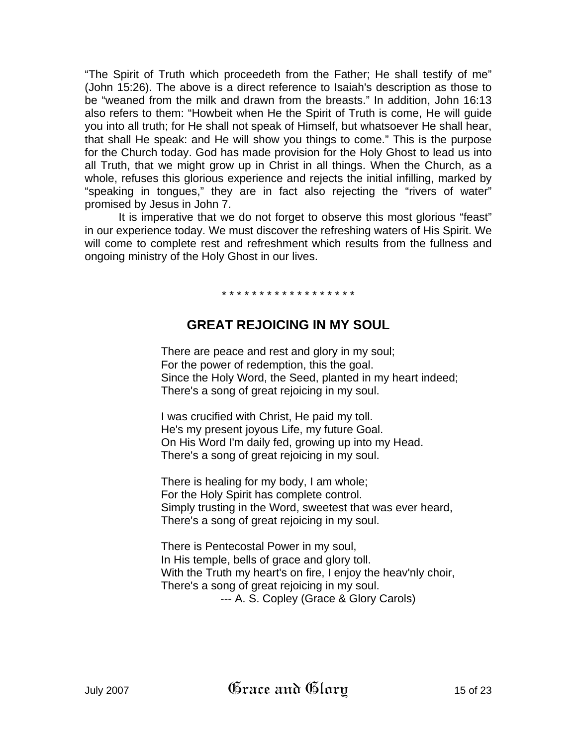"The Spirit of Truth which proceedeth from the Father; He shall testify of me" (John 15:26). The above is a direct reference to Isaiah's description as those to be "weaned from the milk and drawn from the breasts." In addition, John 16:13 also refers to them: "Howbeit when He the Spirit of Truth is come, He will guide you into all truth; for He shall not speak of Himself, but whatsoever He shall hear, that shall He speak: and He will show you things to come." This is the purpose for the Church today. God has made provision for the Holy Ghost to lead us into all Truth, that we might grow up in Christ in all things. When the Church, as a whole, refuses this glorious experience and rejects the initial infilling, marked by "speaking in tongues," they are in fact also rejecting the "rivers of water" promised by Jesus in John 7.

It is imperative that we do not forget to observe this most glorious "feast" in our experience today. We must discover the refreshing waters of His Spirit. We will come to complete rest and refreshment which results from the fullness and ongoing ministry of the Holy Ghost in our lives.

\* \* \* \* \* \* \* \* \* \* \* \* \* \* \* \* \* \*

# **GREAT REJOICING IN MY SOUL**

There are peace and rest and glory in my soul; For the power of redemption, this the goal. Since the Holy Word, the Seed, planted in my heart indeed; There's a song of great rejoicing in my soul.

I was crucified with Christ, He paid my toll. He's my present joyous Life, my future Goal. On His Word I'm daily fed, growing up into my Head. There's a song of great rejoicing in my soul.

There is healing for my body, I am whole; For the Holy Spirit has complete control. Simply trusting in the Word, sweetest that was ever heard, There's a song of great rejoicing in my soul.

There is Pentecostal Power in my soul, In His temple, bells of grace and glory toll. With the Truth my heart's on fire, I enjoy the heav'nly choir, There's a song of great rejoicing in my soul. --- A. S. Copley (Grace & Glory Carols)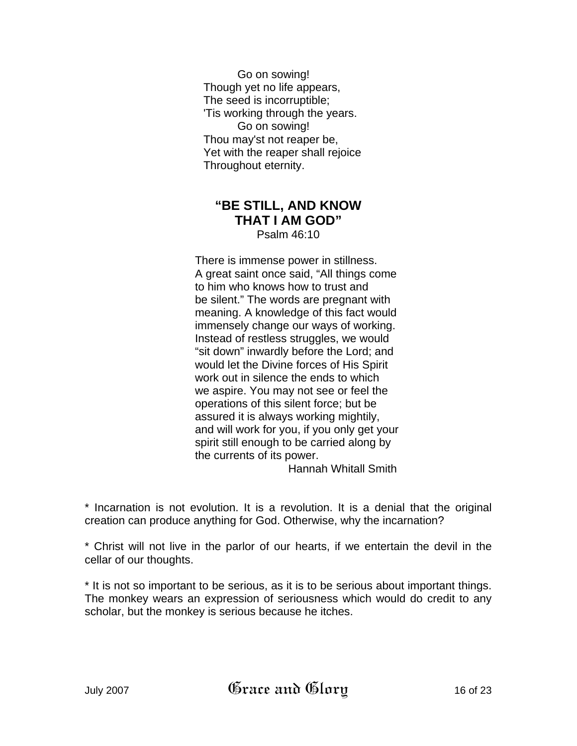Go on sowing! Though yet no life appears, The seed is incorruptible; 'Tis working through the years. Go on sowing! Thou may'st not reaper be, Yet with the reaper shall rejoice Throughout eternity.

## **"BE STILL, AND KNOW THAT I AM GOD"**  Psalm 46:10

There is immense power in stillness. A great saint once said, "All things come to him who knows how to trust and be silent." The words are pregnant with meaning. A knowledge of this fact would immensely change our ways of working. Instead of restless struggles, we would "sit down" inwardly before the Lord; and would let the Divine forces of His Spirit work out in silence the ends to which we aspire. You may not see or feel the operations of this silent force; but be assured it is always working mightily, and will work for you, if you only get your spirit still enough to be carried along by the currents of its power. Hannah Whitall Smith

\* Incarnation is not evolution. It is a revolution. It is a denial that the original creation can produce anything for God. Otherwise, why the incarnation?

\* Christ will not live in the parlor of our hearts, if we entertain the devil in the cellar of our thoughts.

\* It is not so important to be serious, as it is to be serious about important things. The monkey wears an expression of seriousness which would do credit to any scholar, but the monkey is serious because he itches.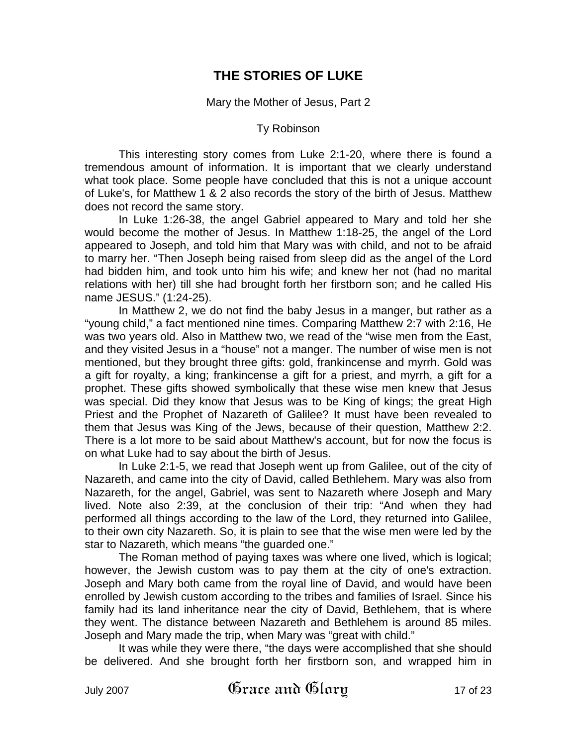# **THE STORIES OF LUKE**

Mary the Mother of Jesus, Part 2

#### Ty Robinson

This interesting story comes from Luke 2:1-20, where there is found a tremendous amount of information. It is important that we clearly understand what took place. Some people have concluded that this is not a unique account of Luke's, for Matthew 1 & 2 also records the story of the birth of Jesus. Matthew does not record the same story.

In Luke 1:26-38, the angel Gabriel appeared to Mary and told her she would become the mother of Jesus. In Matthew 1:18-25, the angel of the Lord appeared to Joseph, and told him that Mary was with child, and not to be afraid to marry her. "Then Joseph being raised from sleep did as the angel of the Lord had bidden him, and took unto him his wife; and knew her not (had no marital relations with her) till she had brought forth her firstborn son; and he called His name JESUS." (1:24-25).

In Matthew 2, we do not find the baby Jesus in a manger, but rather as a "young child," a fact mentioned nine times. Comparing Matthew 2:7 with 2:16, He was two years old. Also in Matthew two, we read of the "wise men from the East, and they visited Jesus in a "house" not a manger. The number of wise men is not mentioned, but they brought three gifts: gold, frankincense and myrrh. Gold was a gift for royalty, a king; frankincense a gift for a priest, and myrrh, a gift for a prophet. These gifts showed symbolically that these wise men knew that Jesus was special. Did they know that Jesus was to be King of kings; the great High Priest and the Prophet of Nazareth of Galilee? It must have been revealed to them that Jesus was King of the Jews, because of their question, Matthew 2:2. There is a lot more to be said about Matthew's account, but for now the focus is on what Luke had to say about the birth of Jesus.

In Luke 2:1-5, we read that Joseph went up from Galilee, out of the city of Nazareth, and came into the city of David, called Bethlehem. Mary was also from Nazareth, for the angel, Gabriel, was sent to Nazareth where Joseph and Mary lived. Note also 2:39, at the conclusion of their trip: "And when they had performed all things according to the law of the Lord, they returned into Galilee, to their own city Nazareth. So, it is plain to see that the wise men were led by the star to Nazareth, which means "the guarded one."

The Roman method of paying taxes was where one lived, which is logical; however, the Jewish custom was to pay them at the city of one's extraction. Joseph and Mary both came from the royal line of David, and would have been enrolled by Jewish custom according to the tribes and families of Israel. Since his family had its land inheritance near the city of David, Bethlehem, that is where they went. The distance between Nazareth and Bethlehem is around 85 miles. Joseph and Mary made the trip, when Mary was "great with child."

It was while they were there, "the days were accomplished that she should be delivered. And she brought forth her firstborn son, and wrapped him in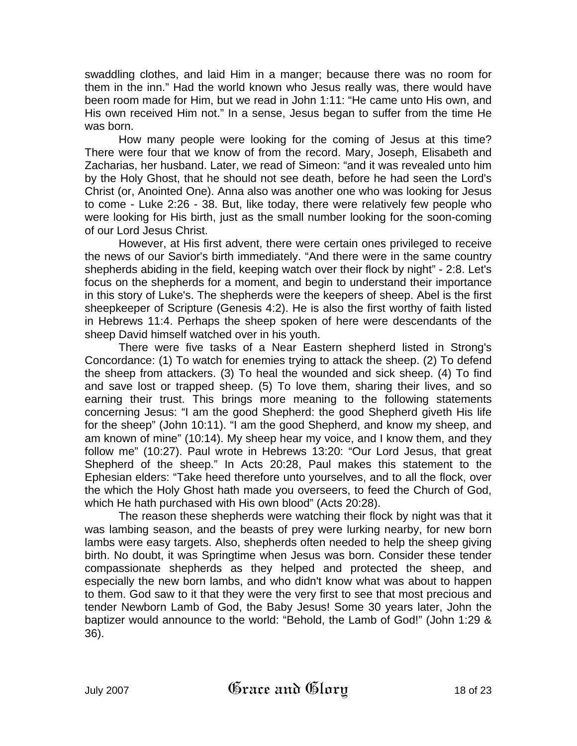swaddling clothes, and laid Him in a manger; because there was no room for them in the inn." Had the world known who Jesus really was, there would have been room made for Him, but we read in John 1:11: "He came unto His own, and His own received Him not." In a sense, Jesus began to suffer from the time He was born.

How many people were looking for the coming of Jesus at this time? There were four that we know of from the record. Mary, Joseph, Elisabeth and Zacharias, her husband. Later, we read of Simeon: "and it was revealed unto him by the Holy Ghost, that he should not see death, before he had seen the Lord's Christ (or, Anointed One). Anna also was another one who was looking for Jesus to come - Luke 2:26 - 38. But, like today, there were relatively few people who were looking for His birth, just as the small number looking for the soon-coming of our Lord Jesus Christ.

However, at His first advent, there were certain ones privileged to receive the news of our Savior's birth immediately. "And there were in the same country shepherds abiding in the field, keeping watch over their flock by night" - 2:8. Let's focus on the shepherds for a moment, and begin to understand their importance in this story of Luke's. The shepherds were the keepers of sheep. Abel is the first sheepkeeper of Scripture (Genesis 4:2). He is also the first worthy of faith listed in Hebrews 11:4. Perhaps the sheep spoken of here were descendants of the sheep David himself watched over in his youth.

There were five tasks of a Near Eastern shepherd listed in Strong's Concordance: (1) To watch for enemies trying to attack the sheep. (2) To defend the sheep from attackers. (3) To heal the wounded and sick sheep. (4) To find and save lost or trapped sheep. (5) To love them, sharing their lives, and so earning their trust. This brings more meaning to the following statements concerning Jesus: "I am the good Shepherd: the good Shepherd giveth His life for the sheep" (John 10:11). "I am the good Shepherd, and know my sheep, and am known of mine" (10:14). My sheep hear my voice, and I know them, and they follow me" (10:27). Paul wrote in Hebrews 13:20: "Our Lord Jesus, that great Shepherd of the sheep." In Acts 20:28, Paul makes this statement to the Ephesian elders: "Take heed therefore unto yourselves, and to all the flock, over the which the Holy Ghost hath made you overseers, to feed the Church of God, which He hath purchased with His own blood" (Acts 20:28).

The reason these shepherds were watching their flock by night was that it was lambing season, and the beasts of prey were lurking nearby, for new born lambs were easy targets. Also, shepherds often needed to help the sheep giving birth. No doubt, it was Springtime when Jesus was born. Consider these tender compassionate shepherds as they helped and protected the sheep, and especially the new born lambs, and who didn't know what was about to happen to them. God saw to it that they were the very first to see that most precious and tender Newborn Lamb of God, the Baby Jesus! Some 30 years later, John the baptizer would announce to the world: "Behold, the Lamb of God!" (John 1:29 & 36).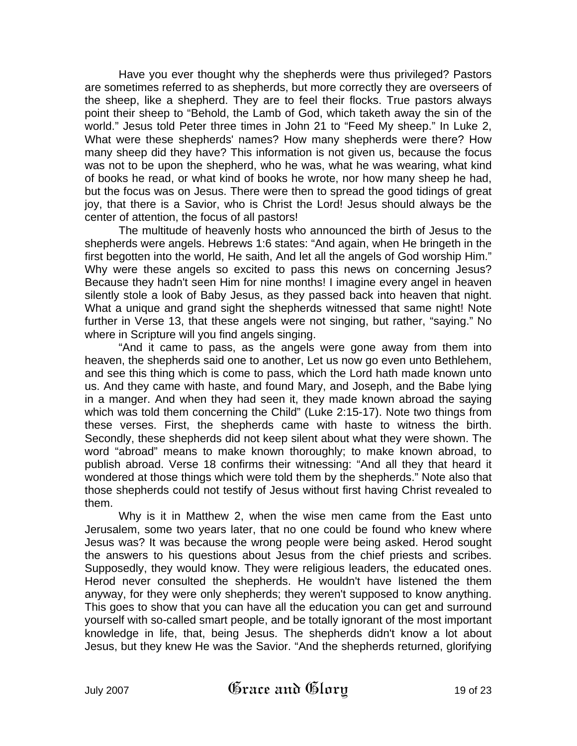Have you ever thought why the shepherds were thus privileged? Pastors are sometimes referred to as shepherds, but more correctly they are overseers of the sheep, like a shepherd. They are to feel their flocks. True pastors always point their sheep to "Behold, the Lamb of God, which taketh away the sin of the world." Jesus told Peter three times in John 21 to "Feed My sheep." In Luke 2, What were these shepherds' names? How many shepherds were there? How many sheep did they have? This information is not given us, because the focus was not to be upon the shepherd, who he was, what he was wearing, what kind of books he read, or what kind of books he wrote, nor how many sheep he had, but the focus was on Jesus. There were then to spread the good tidings of great joy, that there is a Savior, who is Christ the Lord! Jesus should always be the center of attention, the focus of all pastors!

The multitude of heavenly hosts who announced the birth of Jesus to the shepherds were angels. Hebrews 1:6 states: "And again, when He bringeth in the first begotten into the world, He saith, And let all the angels of God worship Him." Why were these angels so excited to pass this news on concerning Jesus? Because they hadn't seen Him for nine months! I imagine every angel in heaven silently stole a look of Baby Jesus, as they passed back into heaven that night. What a unique and grand sight the shepherds witnessed that same night! Note further in Verse 13, that these angels were not singing, but rather, "saying." No where in Scripture will you find angels singing.

"And it came to pass, as the angels were gone away from them into heaven, the shepherds said one to another, Let us now go even unto Bethlehem, and see this thing which is come to pass, which the Lord hath made known unto us. And they came with haste, and found Mary, and Joseph, and the Babe lying in a manger. And when they had seen it, they made known abroad the saying which was told them concerning the Child" (Luke 2:15-17). Note two things from these verses. First, the shepherds came with haste to witness the birth. Secondly, these shepherds did not keep silent about what they were shown. The word "abroad" means to make known thoroughly; to make known abroad, to publish abroad. Verse 18 confirms their witnessing: "And all they that heard it wondered at those things which were told them by the shepherds." Note also that those shepherds could not testify of Jesus without first having Christ revealed to them.

Why is it in Matthew 2, when the wise men came from the East unto Jerusalem, some two years later, that no one could be found who knew where Jesus was? It was because the wrong people were being asked. Herod sought the answers to his questions about Jesus from the chief priests and scribes. Supposedly, they would know. They were religious leaders, the educated ones. Herod never consulted the shepherds. He wouldn't have listened the them anyway, for they were only shepherds; they weren't supposed to know anything. This goes to show that you can have all the education you can get and surround yourself with so-called smart people, and be totally ignorant of the most important knowledge in life, that, being Jesus. The shepherds didn't know a lot about Jesus, but they knew He was the Savior. "And the shepherds returned, glorifying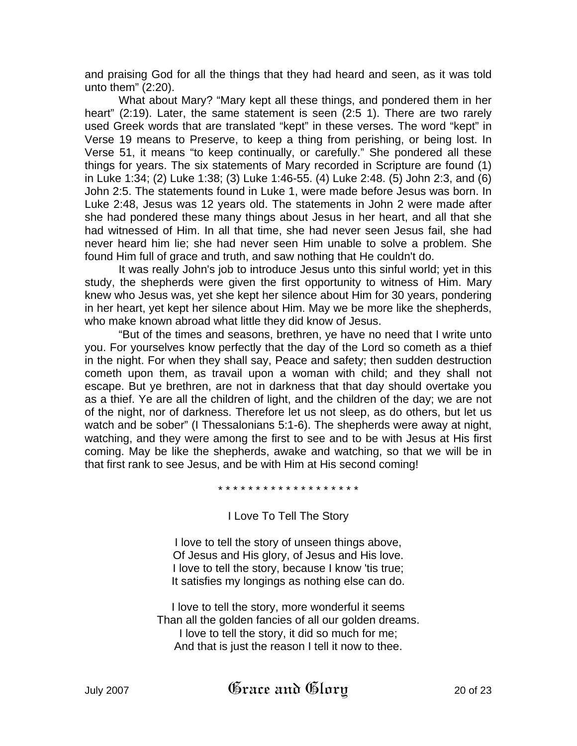and praising God for all the things that they had heard and seen, as it was told unto them" (2:20).

What about Mary? "Mary kept all these things, and pondered them in her heart" (2:19). Later, the same statement is seen (2:5 1). There are two rarely used Greek words that are translated "kept" in these verses. The word "kept" in Verse 19 means to Preserve, to keep a thing from perishing, or being lost. In Verse 51, it means "to keep continually, or carefully." She pondered all these things for years. The six statements of Mary recorded in Scripture are found (1) in Luke 1:34; (2) Luke 1:38; (3) Luke 1:46-55. (4) Luke 2:48. (5) John 2:3, and (6) John 2:5. The statements found in Luke 1, were made before Jesus was born. In Luke 2:48, Jesus was 12 years old. The statements in John 2 were made after she had pondered these many things about Jesus in her heart, and all that she had witnessed of Him. In all that time, she had never seen Jesus fail, she had never heard him lie; she had never seen Him unable to solve a problem. She found Him full of grace and truth, and saw nothing that He couldn't do.

It was really John's job to introduce Jesus unto this sinful world; yet in this study, the shepherds were given the first opportunity to witness of Him. Mary knew who Jesus was, yet she kept her silence about Him for 30 years, pondering in her heart, yet kept her silence about Him. May we be more like the shepherds, who make known abroad what little they did know of Jesus.

"But of the times and seasons, brethren, ye have no need that I write unto you. For yourselves know perfectly that the day of the Lord so cometh as a thief in the night. For when they shall say, Peace and safety; then sudden destruction cometh upon them, as travail upon a woman with child; and they shall not escape. But ye brethren, are not in darkness that that day should overtake you as a thief. Ye are all the children of light, and the children of the day; we are not of the night, nor of darkness. Therefore let us not sleep, as do others, but let us watch and be sober" (I Thessalonians 5:1-6). The shepherds were away at night, watching, and they were among the first to see and to be with Jesus at His first coming. May be like the shepherds, awake and watching, so that we will be in that first rank to see Jesus, and be with Him at His second coming!

\* \* \* \* \* \* \* \* \* \* \* \* \* \* \* \* \* \* \*

I Love To Tell The Story

I love to tell the story of unseen things above, Of Jesus and His glory, of Jesus and His love. I love to tell the story, because I know 'tis true; It satisfies my longings as nothing else can do.

I love to tell the story, more wonderful it seems Than all the golden fancies of all our golden dreams. I love to tell the story, it did so much for me; And that is just the reason I tell it now to thee.

July 2007  $\mathfrak{G}$ race and  $\mathfrak{G}$ lory 2007 200f 23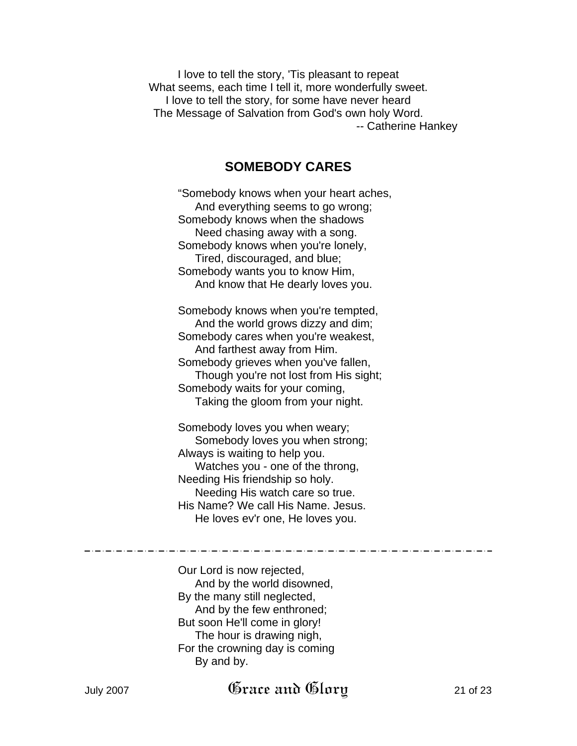I love to tell the story, 'Tis pleasant to repeat What seems, each time I tell it, more wonderfully sweet. I love to tell the story, for some have never heard The Message of Salvation from God's own holy Word. -- Catherine Hankey

## **SOMEBODY CARES**

"Somebody knows when your heart aches, And everything seems to go wrong; Somebody knows when the shadows Need chasing away with a song. Somebody knows when you're lonely, Tired, discouraged, and blue; Somebody wants you to know Him, And know that He dearly loves you.

Somebody knows when you're tempted, And the world grows dizzy and dim; Somebody cares when you're weakest, And farthest away from Him. Somebody grieves when you've fallen, Though you're not lost from His sight; Somebody waits for your coming, Taking the gloom from your night.

Somebody loves you when weary; Somebody loves you when strong; Always is waiting to help you. Watches you - one of the throng, Needing His friendship so holy. Needing His watch care so true. His Name? We call His Name. Jesus. He loves ev'r one, He loves you.

Our Lord is now rejected, And by the world disowned, By the many still neglected, And by the few enthroned; But soon He'll come in glory! The hour is drawing nigh, For the crowning day is coming By and by.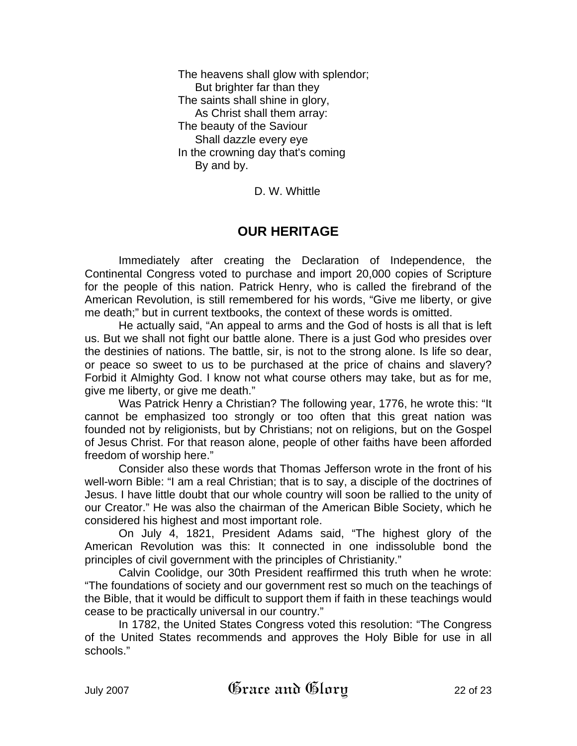The heavens shall glow with splendor; But brighter far than they The saints shall shine in glory, As Christ shall them array: The beauty of the Saviour Shall dazzle every eye In the crowning day that's coming By and by.

D. W. Whittle

## **OUR HERITAGE**

Immediately after creating the Declaration of Independence, the Continental Congress voted to purchase and import 20,000 copies of Scripture for the people of this nation. Patrick Henry, who is called the firebrand of the American Revolution, is still remembered for his words, "Give me liberty, or give me death;" but in current textbooks, the context of these words is omitted.

He actually said, "An appeal to arms and the God of hosts is all that is left us. But we shall not fight our battle alone. There is a just God who presides over the destinies of nations. The battle, sir, is not to the strong alone. Is life so dear, or peace so sweet to us to be purchased at the price of chains and slavery? Forbid it Almighty God. I know not what course others may take, but as for me, give me liberty, or give me death."

Was Patrick Henry a Christian? The following year, 1776, he wrote this: "It cannot be emphasized too strongly or too often that this great nation was founded not by religionists, but by Christians; not on religions, but on the Gospel of Jesus Christ. For that reason alone, people of other faiths have been afforded freedom of worship here."

Consider also these words that Thomas Jefferson wrote in the front of his well-worn Bible: "I am a real Christian; that is to say, a disciple of the doctrines of Jesus. I have little doubt that our whole country will soon be rallied to the unity of our Creator." He was also the chairman of the American Bible Society, which he considered his highest and most important role.

On July 4, 1821, President Adams said, "The highest glory of the American Revolution was this: It connected in one indissoluble bond the principles of civil government with the principles of Christianity."

Calvin Coolidge, our 30th President reaffirmed this truth when he wrote: "The foundations of society and our government rest so much on the teachings of the Bible, that it would be difficult to support them if faith in these teachings would cease to be practically universal in our country."

In 1782, the United States Congress voted this resolution: "The Congress of the United States recommends and approves the Holy Bible for use in all schools."